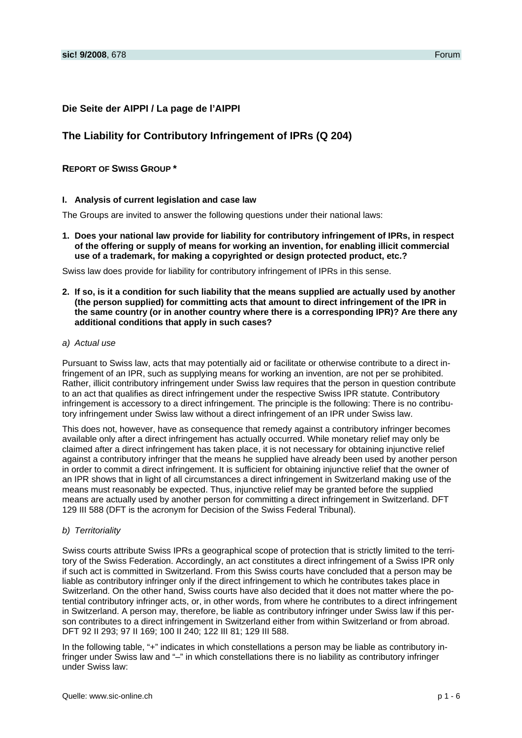## **Die Seite der AIPPI / La page de l'AIPPI**

# **The Liability for Contributory Infringement of IPRs (Q 204)**

## **REPORT OF SWISS GROUP \***

#### **I. Analysis of current legislation and case law**

The Groups are invited to answer the following questions under their national laws:

**1. Does your national law provide for liability for contributory infringement of IPRs, in respect of the offering or supply of means for working an invention, for enabling illicit commercial use of a trademark, for making a copyrighted or design protected product, etc.?** 

Swiss law does provide for liability for contributory infringement of IPRs in this sense.

- **2. If so, is it a condition for such liability that the means supplied are actually used by another (the person supplied) for committing acts that amount to direct infringement of the IPR in the same country (or in another country where there is a corresponding IPR)? Are there any additional conditions that apply in such cases?**
- *a) Actual use*

Pursuant to Swiss law, acts that may potentially aid or facilitate or otherwise contribute to a direct infringement of an IPR, such as supplying means for working an invention, are not per se prohibited. Rather, illicit contributory infringement under Swiss law requires that the person in question contribute to an act that qualifies as direct infringement under the respective Swiss IPR statute. Contributory infringement is accessory to a direct infringement. The principle is the following: There is no contributory infringement under Swiss law without a direct infringement of an IPR under Swiss law.

This does not, however, have as consequence that remedy against a contributory infringer becomes available only after a direct infringement has actually occurred. While monetary relief may only be claimed after a direct infringement has taken place, it is not necessary for obtaining injunctive relief against a contributory infringer that the means he supplied have already been used by another person in order to commit a direct infringement. It is sufficient for obtaining injunctive relief that the owner of an IPR shows that in light of all circumstances a direct infringement in Switzerland making use of the means must reasonably be expected. Thus, injunctive relief may be granted before the supplied means are actually used by another person for committing a direct infringement in Switzerland. DFT 129 III 588 (DFT is the acronym for Decision of the Swiss Federal Tribunal).

*b) Territoriality* 

Swiss courts attribute Swiss IPRs a geographical scope of protection that is strictly limited to the territory of the Swiss Federation. Accordingly, an act constitutes a direct infringement of a Swiss IPR only if such act is committed in Switzerland. From this Swiss courts have concluded that a person may be liable as contributory infringer only if the direct infringement to which he contributes takes place in Switzerland. On the other hand, Swiss courts have also decided that it does not matter where the potential contributory infringer acts, or, in other words, from where he contributes to a direct infringement in Switzerland. A person may, therefore, be liable as contributory infringer under Swiss law if this person contributes to a direct infringement in Switzerland either from within Switzerland or from abroad. DFT 92 II 293; 97 II 169; 100 II 240; 122 III 81; 129 III 588.

In the following table, "+" indicates in which constellations a person may be liable as contributory infringer under Swiss law and "–" in which constellations there is no liability as contributory infringer under Swiss law: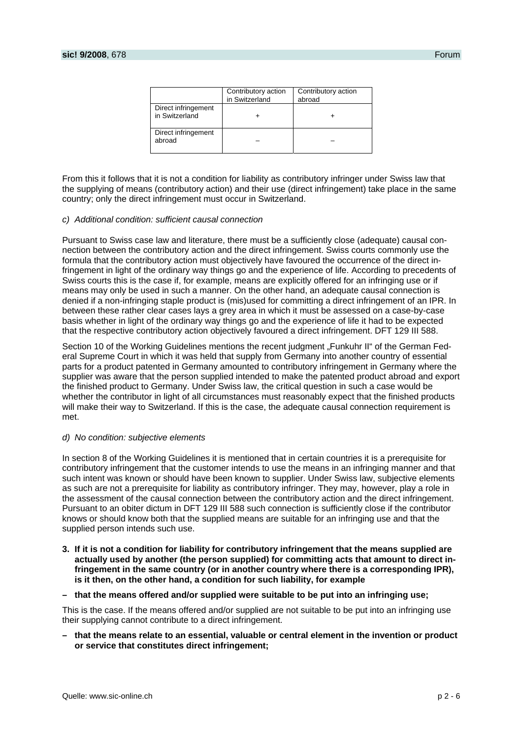|                                       | Contributory action<br>in Switzerland | Contributory action<br>abroad |
|---------------------------------------|---------------------------------------|-------------------------------|
| Direct infringement<br>in Switzerland |                                       |                               |
| Direct infringement<br>abroad         |                                       |                               |

From this it follows that it is not a condition for liability as contributory infringer under Swiss law that the supplying of means (contributory action) and their use (direct infringement) take place in the same country; only the direct infringement must occur in Switzerland.

#### *c) Additional condition: sufficient causal connection*

Pursuant to Swiss case law and literature, there must be a sufficiently close (adequate) causal connection between the contributory action and the direct infringement. Swiss courts commonly use the formula that the contributory action must objectively have favoured the occurrence of the direct infringement in light of the ordinary way things go and the experience of life. According to precedents of Swiss courts this is the case if, for example, means are explicitly offered for an infringing use or if means may only be used in such a manner. On the other hand, an adequate causal connection is denied if a non-infringing staple product is (mis)used for committing a direct infringement of an IPR. In between these rather clear cases lays a grey area in which it must be assessed on a case-by-case basis whether in light of the ordinary way things go and the experience of life it had to be expected that the respective contributory action objectively favoured a direct infringement. DFT 129 III 588.

Section 10 of the Working Guidelines mentions the recent judgment "Funkuhr II" of the German Federal Supreme Court in which it was held that supply from Germany into another country of essential parts for a product patented in Germany amounted to contributory infringement in Germany where the supplier was aware that the person supplied intended to make the patented product abroad and export the finished product to Germany. Under Swiss law, the critical question in such a case would be whether the contributor in light of all circumstances must reasonably expect that the finished products will make their way to Switzerland. If this is the case, the adequate causal connection requirement is met.

#### *d) No condition: subjective elements*

In section 8 of the Working Guidelines it is mentioned that in certain countries it is a prerequisite for contributory infringement that the customer intends to use the means in an infringing manner and that such intent was known or should have been known to supplier. Under Swiss law, subjective elements as such are not a prerequisite for liability as contributory infringer. They may, however, play a role in the assessment of the causal connection between the contributory action and the direct infringement. Pursuant to an obiter dictum in DFT 129 III 588 such connection is sufficiently close if the contributor knows or should know both that the supplied means are suitable for an infringing use and that the supplied person intends such use.

- **3. If it is not a condition for liability for contributory infringement that the means supplied are actually used by another (the person supplied) for committing acts that amount to direct infringement in the same country (or in another country where there is a corresponding IPR), is it then, on the other hand, a condition for such liability, for example**
- **that the means offered and/or supplied were suitable to be put into an infringing use;**

This is the case. If the means offered and/or supplied are not suitable to be put into an infringing use their supplying cannot contribute to a direct infringement.

**– that the means relate to an essential, valuable or central element in the invention or product or service that constitutes direct infringement;**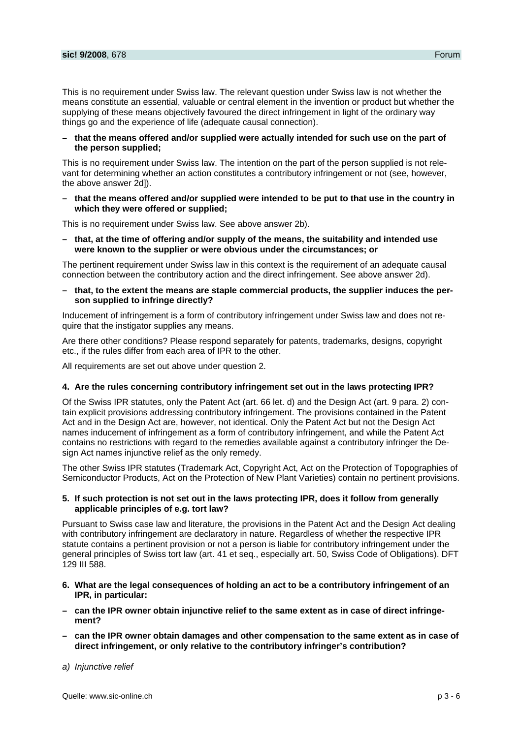This is no requirement under Swiss law. The relevant question under Swiss law is not whether the means constitute an essential, valuable or central element in the invention or product but whether the supplying of these means objectively favoured the direct infringement in light of the ordinary way things go and the experience of life (adequate causal connection).

### **– that the means offered and/or supplied were actually intended for such use on the part of the person supplied;**

This is no requirement under Swiss law. The intention on the part of the person supplied is not relevant for determining whether an action constitutes a contributory infringement or not (see, however, the above answer 2d]).

**– that the means offered and/or supplied were intended to be put to that use in the country in which they were offered or supplied;** 

This is no requirement under Swiss law. See above answer 2b).

**– that, at the time of offering and/or supply of the means, the suitability and intended use were known to the supplier or were obvious under the circumstances; or** 

The pertinent requirement under Swiss law in this context is the requirement of an adequate causal connection between the contributory action and the direct infringement. See above answer 2d).

**– that, to the extent the means are staple commercial products, the supplier induces the person supplied to infringe directly?** 

Inducement of infringement is a form of contributory infringement under Swiss law and does not require that the instigator supplies any means.

Are there other conditions? Please respond separately for patents, trademarks, designs, copyright etc., if the rules differ from each area of IPR to the other.

All requirements are set out above under question 2.

#### **4. Are the rules concerning contributory infringement set out in the laws protecting IPR?**

Of the Swiss IPR statutes, only the Patent Act (art. 66 let. d) and the Design Act (art. 9 para. 2) contain explicit provisions addressing contributory infringement. The provisions contained in the Patent Act and in the Design Act are, however, not identical. Only the Patent Act but not the Design Act names inducement of infringement as a form of contributory infringement, and while the Patent Act contains no restrictions with regard to the remedies available against a contributory infringer the Design Act names injunctive relief as the only remedy.

The other Swiss IPR statutes (Trademark Act, Copyright Act, Act on the Protection of Topographies of Semiconductor Products, Act on the Protection of New Plant Varieties) contain no pertinent provisions.

### **5. If such protection is not set out in the laws protecting IPR, does it follow from generally applicable principles of e.g. tort law?**

Pursuant to Swiss case law and literature, the provisions in the Patent Act and the Design Act dealing with contributory infringement are declaratory in nature. Regardless of whether the respective IPR statute contains a pertinent provision or not a person is liable for contributory infringement under the general principles of Swiss tort law (art. 41 et seq., especially art. 50, Swiss Code of Obligations). DFT 129 III 588.

- **6. What are the legal consequences of holding an act to be a contributory infringement of an IPR, in particular:**
- **can the IPR owner obtain injunctive relief to the same extent as in case of direct infringement?**
- **can the IPR owner obtain damages and other compensation to the same extent as in case of direct infringement, or only relative to the contributory infringer's contribution?**

### *a) Injunctive relief*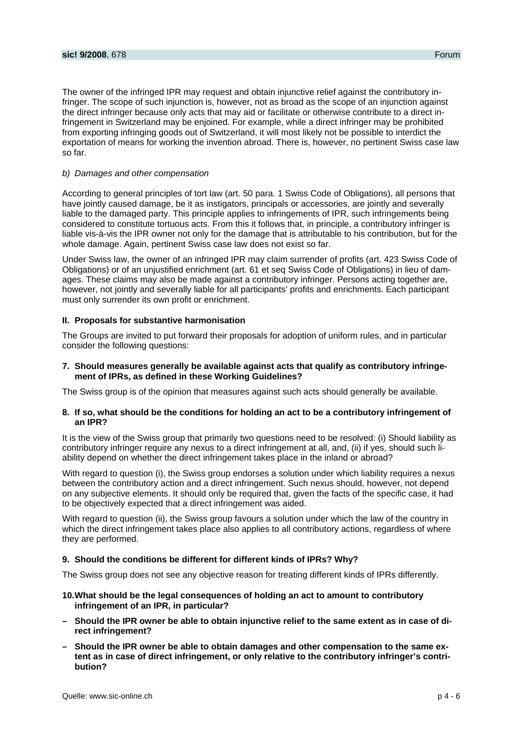The owner of the infringed IPR may request and obtain injunctive relief against the contributory infringer. The scope of such injunction is, however, not as broad as the scope of an injunction against the direct infringer because only acts that may aid or facilitate or otherwise contribute to a direct infringement in Switzerland may be enjoined. For example, while a direct infringer may be prohibited from exporting infringing goods out of Switzerland, it will most likely not be possible to interdict the exportation of means for working the invention abroad. There is, however, no pertinent Swiss case law so far.

### *b) Damages and other compensation*

According to general principles of tort law (art. 50 para. 1 Swiss Code of Obligations), all persons that have jointly caused damage, be it as instigators, principals or accessories, are jointly and severally liable to the damaged party. This principle applies to infringements of IPR, such infringements being considered to constitute tortuous acts. From this it follows that, in principle, a contributory infringer is liable vis-à-vis the IPR owner not only for the damage that is attributable to his contribution, but for the whole damage. Again, pertinent Swiss case law does not exist so far.

Under Swiss law, the owner of an infringed IPR may claim surrender of profits (art. 423 Swiss Code of Obligations) or of an unjustified enrichment (art. 61 et seq Swiss Code of Obligations) in lieu of damages. These claims may also be made against a contributory infringer. Persons acting together are, however, not jointly and severally liable for all participants' profits and enrichments. Each participant must only surrender its own profit or enrichment.

#### **II. Proposals for substantive harmonisation**

The Groups are invited to put forward their proposals for adoption of uniform rules, and in particular consider the following questions:

**7. Should measures generally be available against acts that qualify as contributory infringement of IPRs, as defined in these Working Guidelines?** 

The Swiss group is of the opinion that measures against such acts should generally be available.

#### **8. If so, what should be the conditions for holding an act to be a contributory infringement of an IPR?**

It is the view of the Swiss group that primarily two questions need to be resolved: (i) Should liability as contributory infringer require any nexus to a direct infringement at all, and, (ii) if yes, should such liability depend on whether the direct infringement takes place in the inland or abroad?

With regard to question (i), the Swiss group endorses a solution under which liability requires a nexus between the contributory action and a direct infringement. Such nexus should, however, not depend on any subjective elements. It should only be required that, given the facts of the specific case, it had to be objectively expected that a direct infringement was aided.

With regard to question (ii), the Swiss group favours a solution under which the law of the country in which the direct infringement takes place also applies to all contributory actions, regardless of where they are performed.

#### **9. Should the conditions be different for different kinds of IPRs? Why?**

The Swiss group does not see any objective reason for treating different kinds of IPRs differently.

#### **10. What should be the legal consequences of holding an act to amount to contributory infringement of an IPR, in particular?**

- **Should the IPR owner be able to obtain injunctive relief to the same extent as in case of direct infringement?**
- **Should the IPR owner be able to obtain damages and other compensation to the same extent as in case of direct infringement, or only relative to the contributory infringer's contribution?**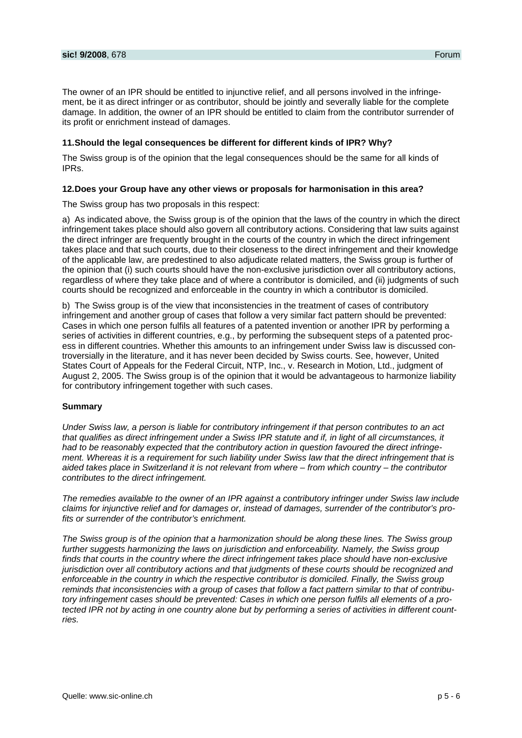The owner of an IPR should be entitled to injunctive relief, and all persons involved in the infringement, be it as direct infringer or as contributor, should be jointly and severally liable for the complete damage. In addition, the owner of an IPR should be entitled to claim from the contributor surrender of its profit or enrichment instead of damages.

## **11. Should the legal consequences be different for different kinds of IPR? Why?**

The Swiss group is of the opinion that the legal consequences should be the same for all kinds of IPRs.

## **12. Does your Group have any other views or proposals for harmonisation in this area?**

The Swiss group has two proposals in this respect:

a) As indicated above, the Swiss group is of the opinion that the laws of the country in which the direct infringement takes place should also govern all contributory actions. Considering that law suits against the direct infringer are frequently brought in the courts of the country in which the direct infringement takes place and that such courts, due to their closeness to the direct infringement and their knowledge of the applicable law, are predestined to also adjudicate related matters, the Swiss group is further of the opinion that (i) such courts should have the non-exclusive jurisdiction over all contributory actions, regardless of where they take place and of where a contributor is domiciled, and (ii) judgments of such courts should be recognized and enforceable in the country in which a contributor is domiciled.

b) The Swiss group is of the view that inconsistencies in the treatment of cases of contributory infringement and another group of cases that follow a very similar fact pattern should be prevented: Cases in which one person fulfils all features of a patented invention or another IPR by performing a series of activities in different countries, e.g., by performing the subsequent steps of a patented process in different countries. Whether this amounts to an infringement under Swiss law is discussed controversially in the literature, and it has never been decided by Swiss courts. See, however, United States Court of Appeals for the Federal Circuit, NTP, Inc., v. Research in Motion, Ltd., judgment of August 2, 2005. The Swiss group is of the opinion that it would be advantageous to harmonize liability for contributory infringement together with such cases.

### **Summary**

*Under Swiss law, a person is liable for contributory infringement if that person contributes to an act that qualifies as direct infringement under a Swiss IPR statute and if, in light of all circumstances, it had to be reasonably expected that the contributory action in question favoured the direct infringement. Whereas it is a requirement for such liability under Swiss law that the direct infringement that is aided takes place in Switzerland it is not relevant from where – from which country – the contributor contributes to the direct infringement.* 

*The remedies available to the owner of an IPR against a contributory infringer under Swiss law include claims for injunctive relief and for damages or, instead of damages, surrender of the contributor's profits or surrender of the contributor's enrichment.* 

*The Swiss group is of the opinion that a harmonization should be along these lines. The Swiss group further suggests harmonizing the laws on jurisdiction and enforceability. Namely, the Swiss group finds that courts in the country where the direct infringement takes place should have non-exclusive jurisdiction over all contributory actions and that judgments of these courts should be recognized and enforceable in the country in which the respective contributor is domiciled. Finally, the Swiss group reminds that inconsistencies with a group of cases that follow a fact pattern similar to that of contributory infringement cases should be prevented: Cases in which one person fulfils all elements of a protected IPR not by acting in one country alone but by performing a series of activities in different countries.*